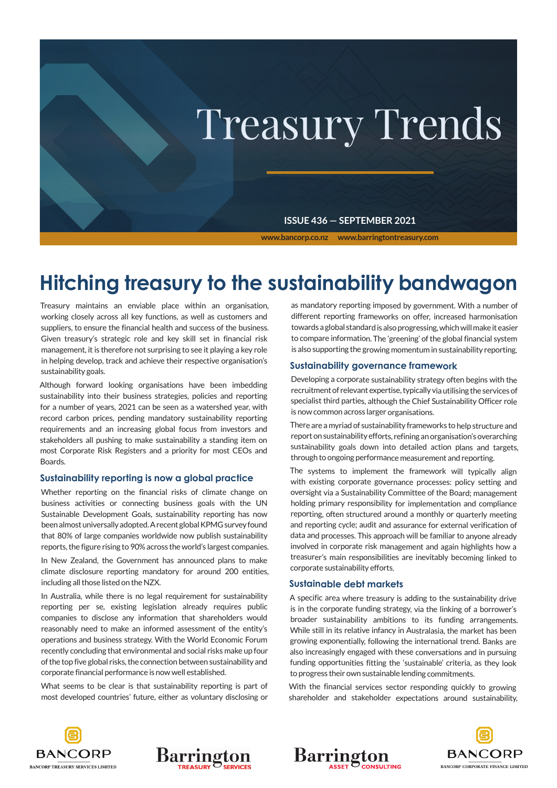

# **Hitching treasury to the sustainability bandwagon**

Treasury maintains an enviable place within an organisation, working closely across all key functions, as well as customers and suppliers, to ensure the financial health and success of the business. Given treasury's strategic role and key skill set in financial risk management, it is therefore not surprising to see it playing a key role in helping develop, track and achieve their respective organisation's sustainability goals.

Although forward looking organisations have been imbedding sustainability into their business strategies, policies and reporting for a number of years, 2021 can be seen as a watershed year, with record carbon prices, pending mandatory sustainability reporting requirements and an increasing global focus from investors and stakeholders all pushing to make sustainability a standing item on most Corporate Risk Registers and a priority for most CEOs and Boards.

#### **Sustainability reporting is now a global practice**

Whether reporting on the financial risks of climate change on business activities or connecting business goals with the UN Sustainable Development Goals, sustainability reporting has now been almost universally adopted. A recent global KPMG survey found that 80% of large companies worldwide now publish sustainability reports, the figure rising to 90% across the world's largest companies.

In New Zealand, the Government has announced plans to make climate disclosure reporting mandatory for around 200 entities, including all those listed on the NZX.

In Australia, while there is no legal requirement for sustainability reporting per se, existing legislation already requires public companies to disclose any information that shareholders would reasonably need to make an informed assessment of the entity's operations and business strategy. With the World Economic Forum recently concluding that environmental and social risks make up four of the top five global risks, the connection between sustainability and corporate financial performance is now well established.

What seems to be clear is that sustainability reporting is part of most developed countries' future, either as voluntary disclosing or as mandatory reporting imposed by government. With a number of different reporting frameworks on offer, increased harmonisation towards a global standard is also progressing, which will make it easier to compare information. The 'greening' of the global financial system is also supporting the growing momentum in sustainability reporting.

#### **Sustainability governance framework**

Developing a corporate sustainability strategy often begins with the recruitment of relevant expertise, typically via utilising the services of specialist third parties, although the Chief Sustainability Officer role is now common across larger organisations.

There are a myriad of sustainability frameworks to help structure and report on sustainability efforts, refining an organisation's overarching sustainability goals down into detailed action plans and targets, through to ongoing performance measurement and reporting.

The systems to implement the framework will typically align with existing corporate governance processes: policy setting and oversight via a Sustainability Committee of the Board; management holding primary responsibility for implementation and compliance reporting, often structured around a monthly or quarterly meeting and reporting cycle; audit and assurance for external verification of data and processes. This approach will be familiar to anyone already involved in corporate risk management and again highlights how a treasurer's main responsibilities are inevitably becoming linked to corporate sustainability efforts.

#### **Sustainable debt markets**

**Barrington** 

A specific area where treasury is adding to the sustainability drive is in the corporate funding strategy, via the linking of a borrower's broader sustainability ambitions to its funding arrangements. While still in its relative infancy in Australasia, the market has been growing exponentially, following the international trend. Banks are also increasingly engaged with these conversations and in pursuing funding opportunities fitting the 'sustainable' criteria, as they look to progress their own sustainable lending commitments.

With the financial services sector responding quickly to growing shareholder and stakeholder expectations around sustainability,





**BANCORP BANCORP CORPORATE FINANCE LIMITED**